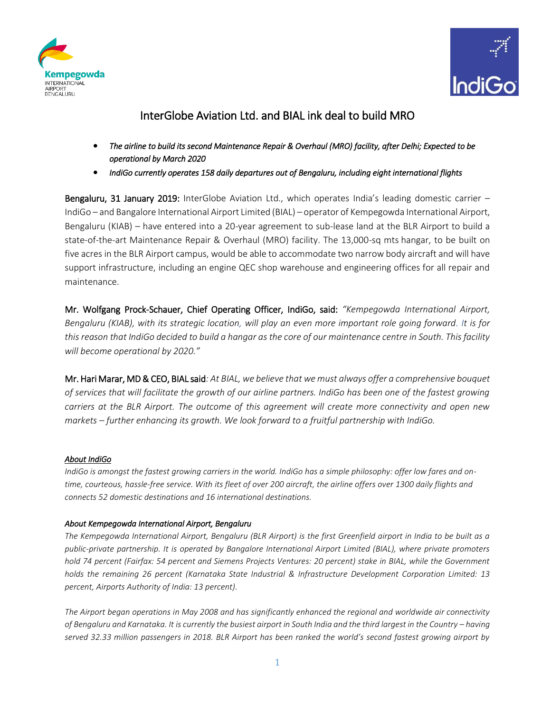



## InterGlobe Aviation Ltd. and BIAL ink deal to build MRO

- *The airline to build its second Maintenance Repair & Overhaul (MRO) facility, after Delhi; Expected to be operational by March 2020*
- *IndiGo currently operates 158 daily departures out of Bengaluru, including eight international flights*

Bengaluru, 31 January 2019: InterGlobe Aviation Ltd., which operates India's leading domestic carrier -IndiGo – and Bangalore International Airport Limited (BIAL) – operator of Kempegowda International Airport, Bengaluru (KIAB) – have entered into a 20-year agreement to sub-lease land at the BLR Airport to build a state-of-the-art Maintenance Repair & Overhaul (MRO) facility. The 13,000-sq mts hangar, to be built on five acres in the BLR Airport campus, would be able to accommodate two narrow body aircraft and will have support infrastructure, including an engine QEC shop warehouse and engineering offices for all repair and maintenance.

Mr. Wolfgang Prock-Schauer, Chief Operating Officer, IndiGo, said: *"Kempegowda International Airport, Bengaluru (KIAB), with its strategic location, will play an even more important role going forward. It is for this reason that IndiGo decided to build a hangar as the core of our maintenance centre in South. This facility will become operational by 2020."*

Mr. Hari Marar, MD & CEO, BIAL said*: At BIAL, we believe that we must always offer a comprehensive bouquet of services that will facilitate the growth of our airline partners. IndiGo has been one of the fastest growing carriers at the BLR Airport. The outcome of this agreement will create more connectivity and open new markets – further enhancing its growth. We look forward to a fruitful partnership with IndiGo.*

## *About IndiGo*

*IndiGo is amongst the fastest growing carriers in the world. IndiGo has a simple philosophy: offer low fares and ontime, courteous, hassle-free service. With its fleet of over 200 aircraft, the airline offers over 1300 daily flights and connects 52 domestic destinations and 16 international destinations.*

## *About Kempegowda International Airport, Bengaluru*

*The Kempegowda International Airport, Bengaluru (BLR Airport) is the first Greenfield airport in India to be built as a public-private partnership. It is operated by Bangalore International Airport Limited (BIAL), where private promoters hold 74 percent (Fairfax: 54 percent and Siemens Projects Ventures: 20 percent) stake in BIAL, while the Government holds the remaining 26 percent (Karnataka State Industrial & Infrastructure Development Corporation Limited: 13 percent, Airports Authority of India: 13 percent).* 

*The Airport began operations in May 2008 and has significantly enhanced the regional and worldwide air connectivity of Bengaluru and Karnataka. It is currently the busiest airport in South India and the third largest in the Country – having served 32.33 million passengers in 2018. BLR Airport has been ranked the world's second fastest growing airport by*